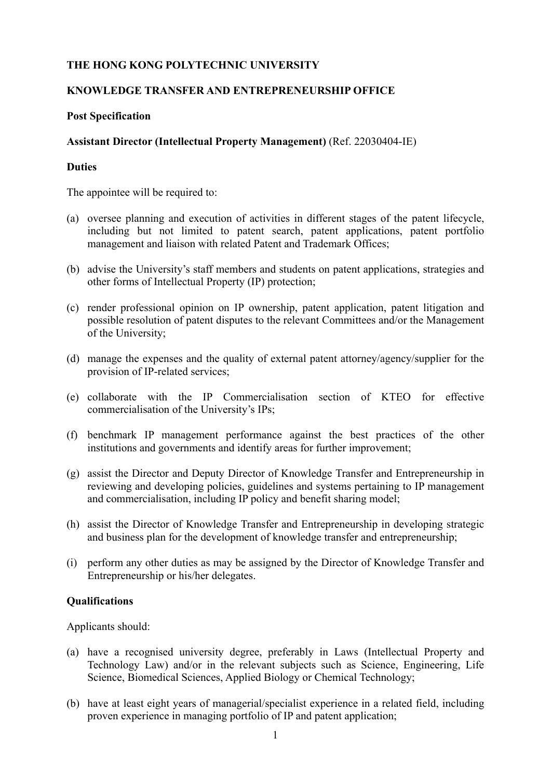# **THE HONG KONG POLYTECHNIC UNIVERSITY**

### **KNOWLEDGE TRANSFER AND ENTREPRENEURSHIP OFFICE**

### **Post Specification**

### **Assistant Director (Intellectual Property Management)** (Ref. 22030404-IE)

#### **Duties**

The appointee will be required to:

- (a) oversee planning and execution of activities in different stages of the patent lifecycle, including but not limited to patent search, patent applications, patent portfolio management and liaison with related Patent and Trademark Offices;
- (b) advise the University's staff members and students on patent applications, strategies and other forms of Intellectual Property (IP) protection;
- (c) render professional opinion on IP ownership, patent application, patent litigation and possible resolution of patent disputes to the relevant Committees and/or the Management of the University;
- (d) manage the expenses and the quality of external patent attorney/agency/supplier for the provision of IP-related services;
- (e) collaborate with the IP Commercialisation section of KTEO for effective commercialisation of the University's IPs;
- (f) benchmark IP management performance against the best practices of the other institutions and governments and identify areas for further improvement;
- (g) assist the Director and Deputy Director of Knowledge Transfer and Entrepreneurship in reviewing and developing policies, guidelines and systems pertaining to IP management and commercialisation, including IP policy and benefit sharing model;
- (h) assist the Director of Knowledge Transfer and Entrepreneurship in developing strategic and business plan for the development of knowledge transfer and entrepreneurship;
- (i) perform any other duties as may be assigned by the Director of Knowledge Transfer and Entrepreneurship or his/her delegates.

# **Qualifications**

Applicants should:

- (a) have a recognised university degree, preferably in Laws (Intellectual Property and Technology Law) and/or in the relevant subjects such as Science, Engineering, Life Science, Biomedical Sciences, Applied Biology or Chemical Technology;
- (b) have at least eight years of managerial/specialist experience in a related field, including proven experience in managing portfolio of IP and patent application;